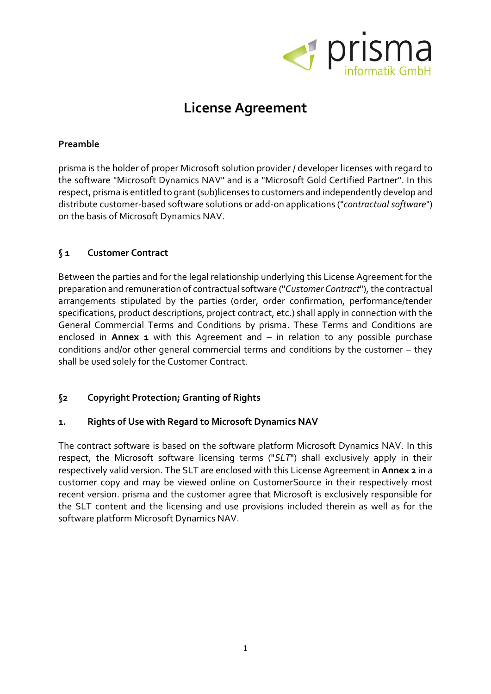

# **License Agreement**

## **Preamble**

prisma is the holder of proper Microsoft solution provider / developer licenses with regard to the software "Microsoft Dynamics NAV" and is a "Microsoft Gold Certified Partner". In this respect, prisma is entitled to grant (sub)licenses to customers and independently develop and distribute customer-based software solutions or add-on applications ("*contractualsoftware*") on the basis of Microsoft Dynamics NAV.

## **§ 1 Customer Contract**

Between the parties and for the legal relationship underlying this License Agreement for the preparation and remuneration of contractual software ("*Customer Contract*"), the contractual arrangements stipulated by the parties (order, order confirmation, performance/tender specifications, product descriptions, project contract, etc.) shall apply in connection with the General Commercial Terms and Conditions by prisma. These Terms and Conditions are enclosed in **Annex 1** with this Agreement and – in relation to any possible purchase conditions and/or other general commercial terms and conditions by the customer – they shall be used solely for the Customer Contract.

# **§2 Copyright Protection; Granting of Rights**

# **1. Rights of Use with Regard to Microsoft Dynamics NAV**

The contract software is based on the software platform Microsoft Dynamics NAV. In this respect, the Microsoft software licensing terms ("*SLT*") shall exclusively apply in their respectively valid version. The SLT are enclosed with this License Agreement in **Annex 2** in a customer copy and may be viewed online on CustomerSource in their respectively most recent version. prisma and the customer agree that Microsoft is exclusively responsible for the SLT content and the licensing and use provisions included therein as well as for the software platform Microsoft Dynamics NAV.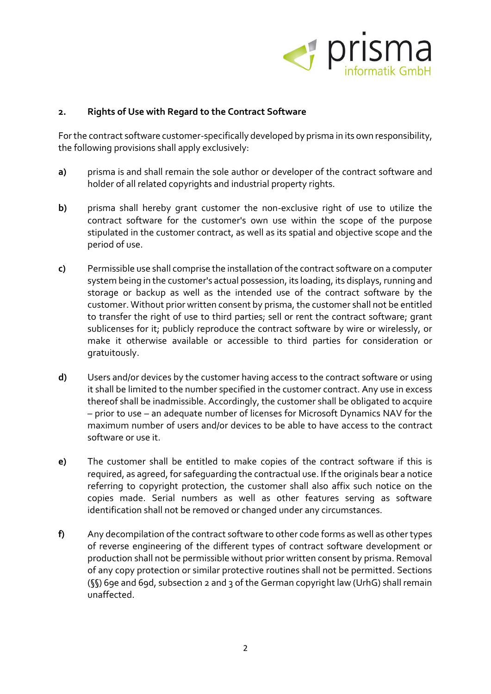

#### **2. Rights of Use with Regard to the Contract Software**

For the contract software customer-specifically developed by prisma in its own responsibility, the following provisions shall apply exclusively:

- **a)** prisma is and shall remain the sole author or developer of the contract software and holder of all related copyrights and industrial property rights.
- **b)** prisma shall hereby grant customer the non-exclusive right of use to utilize the contract software for the customer's own use within the scope of the purpose stipulated in the customer contract, as well as its spatial and objective scope and the period of use.
- **c)** Permissible use shall comprise the installation of the contract software on a computer system being in the customer's actual possession, its loading, its displays, running and storage or backup as well as the intended use of the contract software by the customer. Without prior written consent by prisma, the customer shall not be entitled to transfer the right of use to third parties; sell or rent the contract software; grant sublicenses for it; publicly reproduce the contract software by wire or wirelessly, or make it otherwise available or accessible to third parties for consideration or gratuitously.
- **d)** Users and/or devices by the customer having access to the contract software or using it shall be limited to the number specified in the customer contract. Any use in excess thereof shall be inadmissible. Accordingly, the customer shall be obligated to acquire – prior to use – an adequate number of licenses for Microsoft Dynamics NAV for the maximum number of users and/or devices to be able to have access to the contract software or use it.
- **e)** The customer shall be entitled to make copies of the contract software if this is required, as agreed, for safeguarding the contractual use. If the originals bear a notice referring to copyright protection, the customer shall also affix such notice on the copies made. Serial numbers as well as other features serving as software identification shall not be removed or changed under any circumstances.
- **f)** Any decompilation of the contract software to other code forms as well as other types of reverse engineering of the different types of contract software development or production shall not be permissible without prior written consent by prisma. Removal of any copy protection or similar protective routines shall not be permitted. Sections (§§) 69e and 69d, subsection 2 and 3 of the German copyright law (UrhG) shall remain unaffected.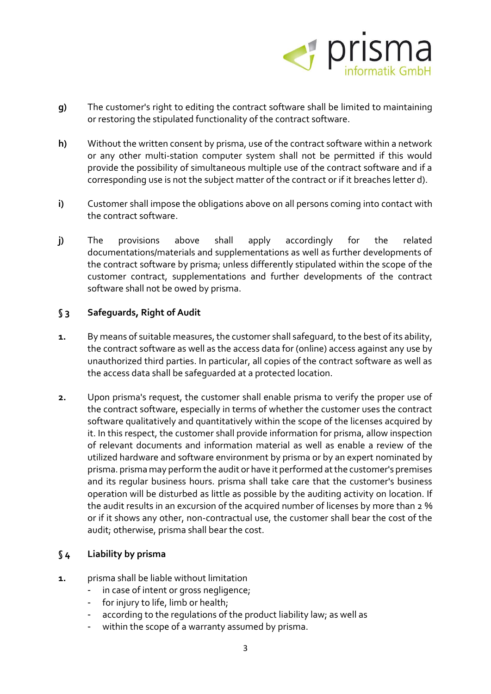

- **g)** The customer's right to editing the contract software shall be limited to maintaining or restoring the stipulated functionality of the contract software.
- **h)** Without the written consent by prisma, use of the contract software within a network or any other multi-station computer system shall not be permitted if this would provide the possibility of simultaneous multiple use of the contract software and if a corresponding use is not the subject matter of the contract or if it breaches letter d).
- **i)** Customer shall impose the obligations above on all persons coming into contact with the contract software.
- **j)** The provisions above shall apply accordingly for the related documentations/materials and supplementations as well as further developments of the contract software by prisma; unless differently stipulated within the scope of the customer contract, supplementations and further developments of the contract software shall not be owed by prisma.

## **§ 3 Safeguards, Right of Audit**

- **1.** By means of suitable measures, the customer shall safequard, to the best of its ability, the contract software as well as the access data for (online) access against any use by unauthorized third parties. In particular, all copies of the contract software as well as the access data shall be safeguarded at a protected location.
- **2.** Upon prisma's request, the customer shall enable prisma to verify the proper use of the contract software, especially in terms of whether the customer uses the contract software qualitatively and quantitatively within the scope of the licenses acquired by it. In this respect, the customer shall provide information for prisma, allow inspection of relevant documents and information material as well as enable a review of the utilized hardware and software environment by prisma or by an expert nominated by prisma. prisma may perform the audit or have it performed at the customer's premises and its regular business hours. prisma shall take care that the customer's business operation will be disturbed as little as possible by the auditing activity on location. If the audit results in an excursion of the acquired number of licenses by more than 2 % or if it shows any other, non-contractual use, the customer shall bear the cost of the audit; otherwise, prisma shall bear the cost.

## **§ 4 Liability by prisma**

- **1.** prisma shall be liable without limitation
	- in case of intent or gross negligence;
	- for injury to life, limb or health;
	- according to the regulations of the product liability law; as well as
	- within the scope of a warranty assumed by prisma.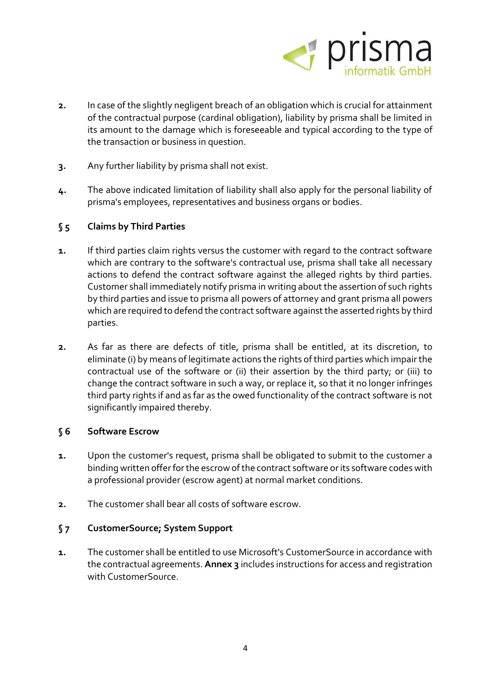

- **2.** In case of the slightly negligent breach of an obligation which is crucial for attainment of the contractual purpose (cardinal obligation), liability by prisma shall be limited in its amount to the damage which is foreseeable and typical according to the type of the transaction or business in question.
- **3.** Any further liability by prisma shall not exist.
- **4.** The above indicated limitation of liability shall also apply for the personal liability of prisma's employees, representatives and business organs or bodies.

## **§ 5 Claims by Third Parties**

- **1.** If third parties claim rights versus the customer with regard to the contract software which are contrary to the software's contractual use, prisma shall take all necessary actions to defend the contract software against the alleged rights by third parties. Customer shall immediately notify prisma in writing about the assertion of such rights by third parties and issue to prisma all powers of attorney and grant prisma all powers which are required to defend the contract software against the asserted rights by third parties.
- **2.** As far as there are defects of title, prisma shall be entitled, at its discretion, to eliminate (i) by means of legitimate actions the rights of third parties which impair the contractual use of the software or (ii) their assertion by the third party; or (iii) to change the contract software in such a way, or replace it, so that it no longer infringes third party rights if and as far as the owed functionality of the contract software is not significantly impaired thereby.

#### **§ 6 Software Escrow**

- **1.** Upon the customer's request, prisma shall be obligated to submit to the customer a binding written offer for the escrow of the contract software or its software codes with a professional provider (escrow agent) at normal market conditions.
- **2.** The customer shall bear all costs of software escrow.

#### **§ 7 CustomerSource; System Support**

**1.** The customer shall be entitled to use Microsoft's CustomerSource in accordance with the contractual agreements. **Annex 3** includes instructions for access and registration with CustomerSource.